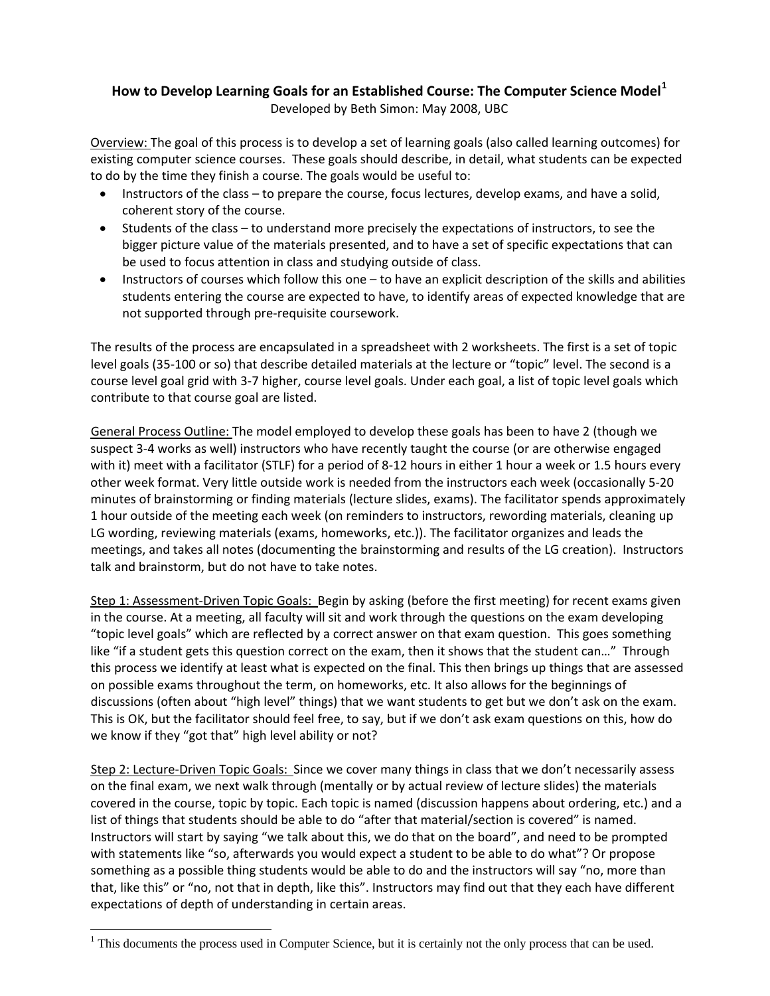## **How to Develop Learning Goals for an Established Course: The Computer Science Model[1](#page-0-0)** Developed by Beth Simon: May 2008, UBC

Overview: The goal of this process is to develop a set of learning goals (also called learning outcomes) for existing computer science courses. These goals should describe, in detail, what students can be expected to do by the time they finish a course. The goals would be useful to:

- Instructors of the class to prepare the course, focus lectures, develop exams, and have a solid, coherent story of the course.
- Students of the class to understand more precisely the expectations of instructors, to see the bigger picture value of the materials presented, and to have a set of specific expectations that can be used to focus attention in class and studying outside of class.
- Instructors of courses which follow this one to have an explicit description of the skills and abilities students entering the course are expected to have, to identify areas of expected knowledge that are not supported through pre‐requisite coursework.

The results of the process are encapsulated in a spreadsheet with 2 worksheets. The first is a set of topic level goals (35‐100 or so) that describe detailed materials at the lecture or "topic" level. The second is a course level goal grid with 3‐7 higher, course level goals. Under each goal, a list of topic level goals which contribute to that course goal are listed.

General Process Outline: The model employed to develop these goals has been to have 2 (though we suspect 3‐4 works as well) instructors who have recently taught the course (or are otherwise engaged with it) meet with a facilitator (STLF) for a period of 8-12 hours in either 1 hour a week or 1.5 hours every other week format. Very little outside work is needed from the instructors each week (occasionally 5‐20 minutes of brainstorming or finding materials (lecture slides, exams). The facilitator spends approximately 1 hour outside of the meeting each week (on reminders to instructors, rewording materials, cleaning up LG wording, reviewing materials (exams, homeworks, etc.)). The facilitator organizes and leads the meetings, and takes all notes (documenting the brainstorming and results of the LG creation). Instructors talk and brainstorm, but do not have to take notes.

Step 1: Assessment‐Driven Topic Goals: Begin by asking (before the first meeting) for recent exams given in the course. At a meeting, all faculty will sit and work through the questions on the exam developing "topic level goals" which are reflected by a correct answer on that exam question. This goes something like "if a student gets this question correct on the exam, then it shows that the student can…" Through this process we identify at least what is expected on the final. This then brings up things that are assessed on possible exams throughout the term, on homeworks, etc. It also allows for the beginnings of discussions (often about "high level" things) that we want students to get but we don't ask on the exam. This is OK, but the facilitator should feel free, to say, but if we don't ask exam questions on this, how do we know if they "got that" high level ability or not?

Step 2: Lecture‐Driven Topic Goals: Since we cover many things in class that we don't necessarily assess on the final exam, we next walk through (mentally or by actual review of lecture slides) the materials covered in the course, topic by topic. Each topic is named (discussion happens about ordering, etc.) and a list of things that students should be able to do "after that material/section is covered" is named. Instructors will start by saying "we talk about this, we do that on the board", and need to be prompted with statements like "so, afterwards you would expect a student to be able to do what"? Or propose something as a possible thing students would be able to do and the instructors will say "no, more than that, like this" or "no, not that in depth, like this". Instructors may find out that they each have different expectations of depth of understanding in certain areas.

<span id="page-0-0"></span> $\overline{a}$  $<sup>1</sup>$  This documents the process used in Computer Science, but it is certainly not the only process that can be used.</sup>